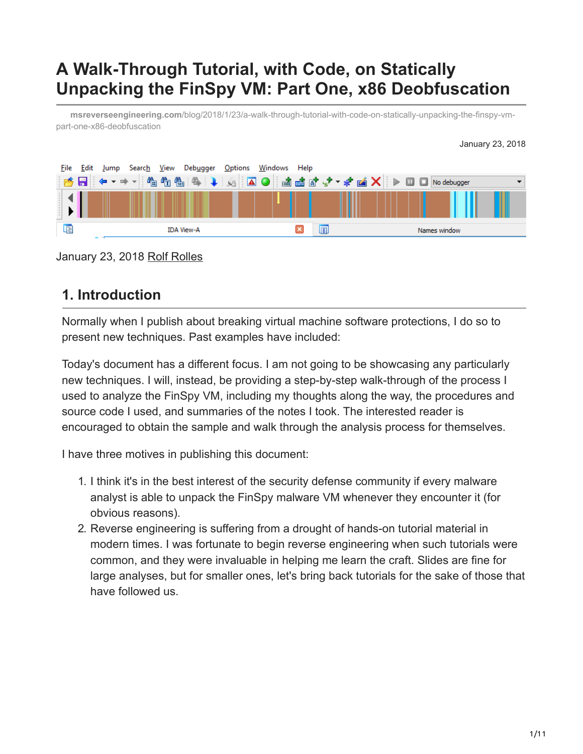# **A Walk-Through Tutorial, with Code, on Statically Unpacking the FinSpy VM: Part One, x86 Deobfuscation**

**msreverseengineering.com**[/blog/2018/1/23/a-walk-through-tutorial-with-code-on-statically-unpacking-the-finspy-vm](http://www.msreverseengineering.com/blog/2018/1/23/a-walk-through-tutorial-with-code-on-statically-unpacking-the-finspy-vm-part-one-x86-deobfuscation)part-one-x86-deobfuscation



January 23, 2018 [Rolf Rolles](http://10.10.0.46/blog?author=5111cf9ee4b0a36262da10df)

# **1. Introduction**

Normally when I publish about breaking virtual machine software protections, I do so to present new techniques. Past examples have included:

Today's document has a different focus. I am not going to be showcasing any particularly new techniques. I will, instead, be providing a step-by-step walk-through of the process I used to analyze the FinSpy VM, including my thoughts along the way, the procedures and source code I used, and summaries of the notes I took. The interested reader is encouraged to obtain the sample and walk through the analysis process for themselves.

I have three motives in publishing this document:

- 1. I think it's in the best interest of the security defense community if every malware analyst is able to unpack the FinSpy malware VM whenever they encounter it (for obvious reasons).
- 2. Reverse engineering is suffering from a drought of hands-on tutorial material in modern times. I was fortunate to begin reverse engineering when such tutorials were common, and they were invaluable in helping me learn the craft. Slides are fine for large analyses, but for smaller ones, let's bring back tutorials for the sake of those that have followed us.

January 23, 2018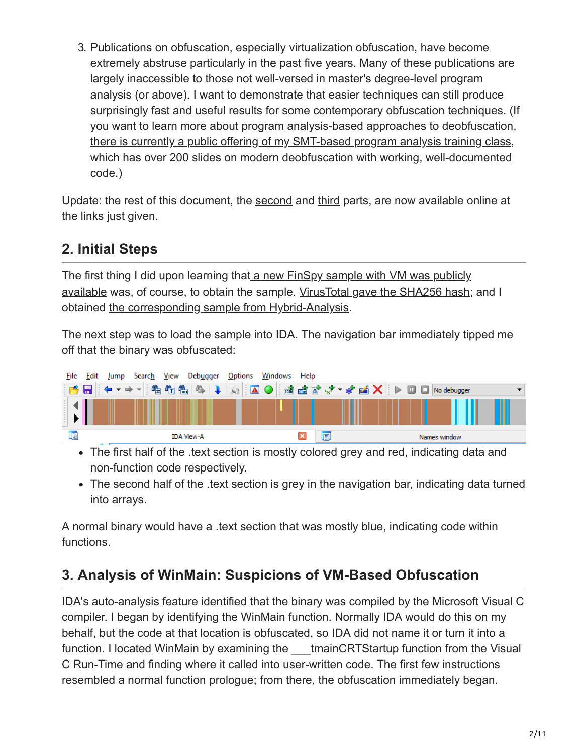3. Publications on obfuscation, especially virtualization obfuscation, have become extremely abstruse particularly in the past five years. Many of these publications are largely inaccessible to those not well-versed in master's degree-level program analysis (or above). I want to demonstrate that easier techniques can still produce surprisingly fast and useful results for some contemporary obfuscation techniques. (If you want to learn more about program analysis-based approaches to deobfuscation, [there is currently a public offering of my SMT-based program analysis training class,](http://www.msreverseengineering.com/training-classes/) which has over 200 slides on modern deobfuscation with working, well-documented code.)

Update: the rest of this document, the [second](http://www.msreverseengineering.com/blog/2018/1/31/finspy-vm-part-2-vm-analysis-and-bytecode-disassembly) and [third](http://www.msreverseengineering.com/blog/2018/2/21/finspy-vm-unpacking-tutorial-part-3-devirtualization) parts, are now available online at the links just given.

# **2. Initial Steps**

[The first thing I did upon learning that a new FinSpy sample with VM was publicly](https://securelist.com/blackoasis-apt-and-new-targeted-attacks-leveraging-zero-day-exploit/82732/) available was, of course, to obtain the sample. [VirusTotal gave the SHA256 hash;](https://www.virustotal.com/en/file/16070014b86f2254dcf273bbce78fb6eca43df9a6fc3c6ab85ec8f06a4063b06/analysis/) and I obtained [the corresponding sample from Hybrid-Analysis.](https://www.hybrid-analysis.com/sample/16070014b86f2254dcf273bbce78fb6eca43df9a6fc3c6ab85ec8f06a4063b06?environmentId=100)

The next step was to load the sample into IDA. The navigation bar immediately tipped me off that the binary was obfuscated:



• The first half of the text section is mostly colored grey and red, indicating data and non-function code respectively.

• The second half of the .text section is grey in the navigation bar, indicating data turned into arrays.

A normal binary would have a .text section that was mostly blue, indicating code within functions.

# **3. Analysis of WinMain: Suspicions of VM-Based Obfuscation**

IDA's auto-analysis feature identified that the binary was compiled by the Microsoft Visual C compiler. I began by identifying the WinMain function. Normally IDA would do this on my behalf, but the code at that location is obfuscated, so IDA did not name it or turn it into a function. I located WinMain by examining the tmainCRTStartup function from the Visual C Run-Time and finding where it called into user-written code. The first few instructions resembled a normal function prologue; from there, the obfuscation immediately began.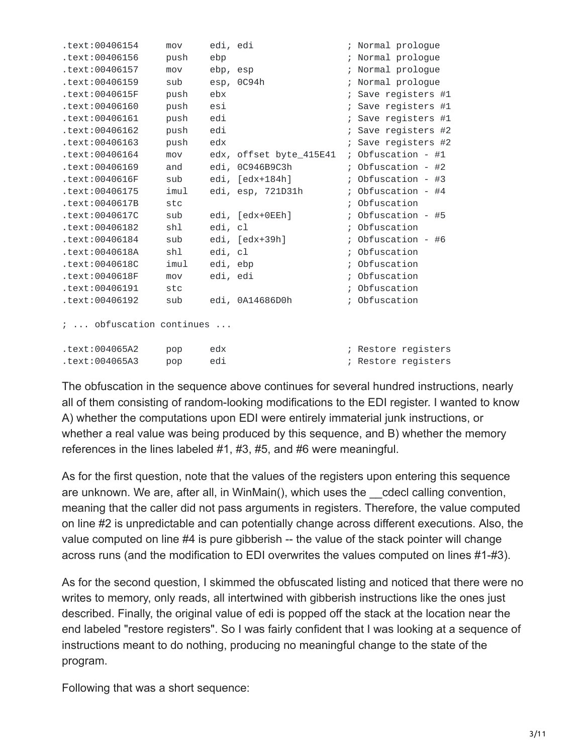| text:00406154.                   | mov  | edi, edi |                         |               | Normal prologue     |
|----------------------------------|------|----------|-------------------------|---------------|---------------------|
| text:00406156.                   | push | ebp      |                         |               | Normal prologue     |
| text:00406157.                   | mov  | ebp, esp |                         |               | Normal prologue     |
| .text:00406159                   | sub  |          | esp, 0C94h              |               | Normal prologue     |
| .text:0040615F                   | push | ebx      |                         |               | Save registers #1   |
| text:00406160.                   | push | esi      |                         |               | Save registers #1   |
| .text:00406161                   | push | edi      |                         |               | Save registers #1   |
| .text:00406162                   | push | edi      |                         |               | Save registers #2   |
| text:00406163.                   | push | edx      |                         |               | Save registers #2   |
| text:00406164.                   | mov  |          | edx, offset byte_415E41 | $\ddot{ }$    | Obfuscation - $#1$  |
| .text:00406169                   | and  |          | edi, 0C946B9C3h         |               | Obfuscation - #2    |
| .text:0040616F                   | sub  |          | edi, [edx+184h]         |               | Obfuscation - $#3$  |
| text:00406175.                   | imul |          | edi, esp, 721D31h       |               | Obfuscation - #4    |
| .text:0040617B                   | stc  |          |                         |               | Obfuscation         |
| .text:0040617C                   | sub  |          | edi, [edx+0EEh]         |               | Obfuscation - #5    |
| text:00406182.                   | shl  | edi, cl  |                         |               | Obfuscation         |
| text:00406184.                   | sub  |          | edi, [edx+39h]          |               | Obfuscation - #6    |
| .text:0040618A                   | shl  | edi, cl  |                         |               | Obfuscation         |
| .text:0040618C                   | imul | edi, ebp |                         |               | Obfuscation         |
| .text:0040618F                   | mov  | edi, edi |                         |               | Obfuscation         |
| text:00406191.                   | stc  |          |                         |               | Obfuscation         |
| text:00406192.                   | sub  |          | edi, 0A14686D0h         | $\frac{1}{L}$ | Obfuscation         |
| $\ddot{z}$ obfuscation continues |      |          |                         |               |                     |
| text:004065A2.                   | pop  | edx      |                         |               | ; Restore registers |
| .text:004065A3                   | pop  | edi      |                         |               | ; Restore registers |
|                                  |      |          |                         |               |                     |

The obfuscation in the sequence above continues for several hundred instructions, nearly all of them consisting of random-looking modifications to the EDI register. I wanted to know A) whether the computations upon EDI were entirely immaterial junk instructions, or whether a real value was being produced by this sequence, and B) whether the memory references in the lines labeled #1, #3, #5, and #6 were meaningful.

As for the first question, note that the values of the registers upon entering this sequence are unknown. We are, after all, in WinMain(), which uses the \_\_cdecl calling convention, meaning that the caller did not pass arguments in registers. Therefore, the value computed on line #2 is unpredictable and can potentially change across different executions. Also, the value computed on line #4 is pure gibberish -- the value of the stack pointer will change across runs (and the modification to EDI overwrites the values computed on lines #1-#3).

As for the second question, I skimmed the obfuscated listing and noticed that there were no writes to memory, only reads, all intertwined with gibberish instructions like the ones just described. Finally, the original value of edi is popped off the stack at the location near the end labeled "restore registers". So I was fairly confident that I was looking at a sequence of instructions meant to do nothing, producing no meaningful change to the state of the program.

Following that was a short sequence: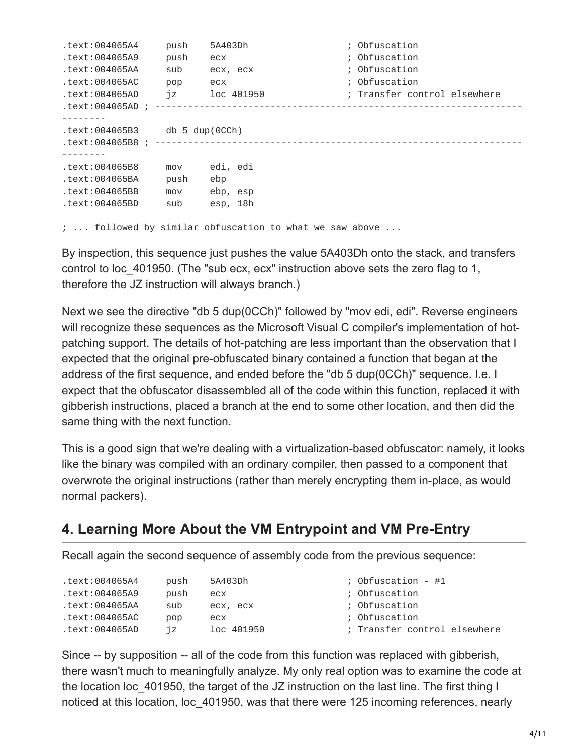```
.text:004065A4 push 5A403Dh ; Obfuscation
.text:004065A9 push ecx ; Obfuscation
.text:004065AA sub ecx, ecx ; Obfuscation
.text:004065AC pop ecx ; Obfuscation
.text:004065AD jz loc_401950 ; Transfer control elsewhere
.text:004065AD ; -------------------------------------------------------------------
--------
.text:004065B3 db 5 dup(0CCh)
.text:004065B8 ; -------------------------------------------------------------------
--------
.text:004065B8 mov edi, edi
.text:004065BA push ebp
.text:004065BB mov ebp, esp
.text:004065BD sub esp, 18h
```
; ... followed by similar obfuscation to what we saw above ...

By inspection, this sequence just pushes the value 5A403Dh onto the stack, and transfers control to loc\_401950. (The "sub ecx, ecx" instruction above sets the zero flag to 1, therefore the JZ instruction will always branch.)

Next we see the directive "db 5 dup(0CCh)" followed by "mov edi, edi". Reverse engineers will recognize these sequences as the Microsoft Visual C compiler's implementation of hotpatching support. The details of hot-patching are less important than the observation that I expected that the original pre-obfuscated binary contained a function that began at the address of the first sequence, and ended before the "db 5 dup(0CCh)" sequence. I.e. I expect that the obfuscator disassembled all of the code within this function, replaced it with gibberish instructions, placed a branch at the end to some other location, and then did the same thing with the next function.

This is a good sign that we're dealing with a virtualization-based obfuscator: namely, it looks like the binary was compiled with an ordinary compiler, then passed to a component that overwrote the original instructions (rather than merely encrypting them in-place, as would normal packers).

# **4. Learning More About the VM Entrypoint and VM Pre-Entry**

Recall again the second sequence of assembly code from the previous sequence:

| push | 5A403Dh    | ; Obfuscation - $\#1$        |
|------|------------|------------------------------|
| push | ecx        | ; Obfuscation                |
| sub  | есх, есх   | ; Obfuscation                |
| pop  | ecx        | ; Obfuscation                |
| 7Z   | loc 401950 | ; Transfer control elsewhere |
|      |            |                              |

Since -- by supposition -- all of the code from this function was replaced with gibberish, there wasn't much to meaningfully analyze. My only real option was to examine the code at the location loc\_401950, the target of the JZ instruction on the last line. The first thing I noticed at this location, loc\_401950, was that there were 125 incoming references, nearly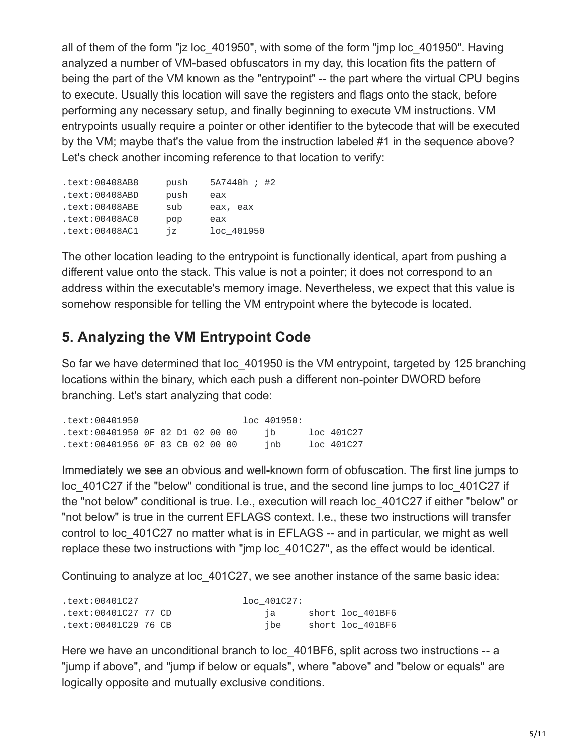all of them of the form "jz loc\_401950", with some of the form "jmp loc\_401950". Having analyzed a number of VM-based obfuscators in my day, this location fits the pattern of being the part of the VM known as the "entrypoint" -- the part where the virtual CPU begins to execute. Usually this location will save the registers and flags onto the stack, before performing any necessary setup, and finally beginning to execute VM instructions. VM entrypoints usually require a pointer or other identifier to the bytecode that will be executed by the VM; maybe that's the value from the instruction labeled #1 in the sequence above? Let's check another incoming reference to that location to verify:

| .text:00408AB8    | push | 5A7440h ; #2 |
|-------------------|------|--------------|
| .text:00408ABD    | push | eax          |
| $.$ text:00408ABE | sub  | eax, eax     |
| .text:00408AC0    | pop  | eax          |
| .text:00408AC1    | iz   | loc_401950   |

The other location leading to the entrypoint is functionally identical, apart from pushing a different value onto the stack. This value is not a pointer; it does not correspond to an address within the executable's memory image. Nevertheless, we expect that this value is somehow responsible for telling the VM entrypoint where the bytecode is located.

#### **5. Analyzing the VM Entrypoint Code**

So far we have determined that loc\_401950 is the VM entrypoint, targeted by 125 branching locations within the binary, which each push a different non-pointer DWORD before branching. Let's start analyzing that code:

| text:00401950.                   |  |  |  | loc 401950: |            |
|----------------------------------|--|--|--|-------------|------------|
| text:00401950 OF 82 D1 02 00 00. |  |  |  | ib          | loc 401C27 |
| text:00401956 OF 83 CB 02 00 00. |  |  |  | inb         | loc 401C27 |

Immediately we see an obvious and well-known form of obfuscation. The first line jumps to loc 401C27 if the "below" conditional is true, and the second line jumps to loc 401C27 if the "not below" conditional is true. I.e., execution will reach loc\_401C27 if either "below" or "not below" is true in the current EFLAGS context. I.e., these two instructions will transfer control to loc 401C27 no matter what is in EFLAGS -- and in particular, we might as well replace these two instructions with "jmp loc\_401C27", as the effect would be identical.

Continuing to analyze at loc\_401C27, we see another instance of the same basic idea:

| text:00401C27.       |  | loc 401C27: |                  |
|----------------------|--|-------------|------------------|
| text:00401C27 77 CD. |  | та п        | short loc 401BF6 |
| text:00401C29 76 CB. |  | ibe         | short loc 401BF6 |

Here we have an unconditional branch to loc 401BF6, split across two instructions -- a "jump if above", and "jump if below or equals", where "above" and "below or equals" are logically opposite and mutually exclusive conditions.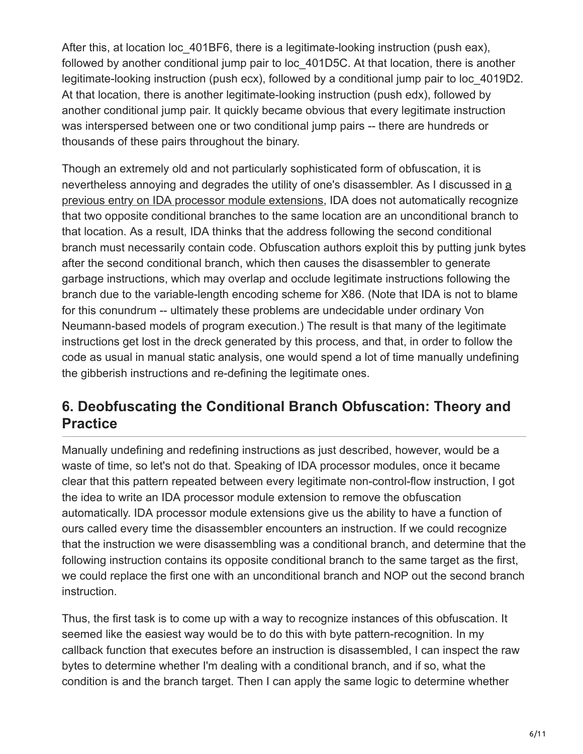After this, at location loc\_401BF6, there is a legitimate-looking instruction (push eax), followed by another conditional jump pair to loc 401D5C. At that location, there is another legitimate-looking instruction (push ecx), followed by a conditional jump pair to loc\_4019D2. At that location, there is another legitimate-looking instruction (push edx), followed by another conditional jump pair. It quickly became obvious that every legitimate instruction was interspersed between one or two conditional jump pairs -- there are hundreds or thousands of these pairs throughout the binary.

Though an extremely old and not particularly sophisticated form of obfuscation, it is nevertheless annoying and degrades the utility of one's disassembler. As I discussed in a [previous entry on IDA processor module extensions, IDA does not automatically recognize](http://www.msreverseengineering.com/blog/2015/6/29/transparent-deobfuscation-with-ida-processor-module-extensions) that two opposite conditional branches to the same location are an unconditional branch to that location. As a result, IDA thinks that the address following the second conditional branch must necessarily contain code. Obfuscation authors exploit this by putting junk bytes after the second conditional branch, which then causes the disassembler to generate garbage instructions, which may overlap and occlude legitimate instructions following the branch due to the variable-length encoding scheme for X86. (Note that IDA is not to blame for this conundrum -- ultimately these problems are undecidable under ordinary Von Neumann-based models of program execution.) The result is that many of the legitimate instructions get lost in the dreck generated by this process, and that, in order to follow the code as usual in manual static analysis, one would spend a lot of time manually undefining the gibberish instructions and re-defining the legitimate ones.

# **6. Deobfuscating the Conditional Branch Obfuscation: Theory and Practice**

Manually undefining and redefining instructions as just described, however, would be a waste of time, so let's not do that. Speaking of IDA processor modules, once it became clear that this pattern repeated between every legitimate non-control-flow instruction, I got the idea to write an IDA processor module extension to remove the obfuscation automatically. IDA processor module extensions give us the ability to have a function of ours called every time the disassembler encounters an instruction. If we could recognize that the instruction we were disassembling was a conditional branch, and determine that the following instruction contains its opposite conditional branch to the same target as the first, we could replace the first one with an unconditional branch and NOP out the second branch instruction.

Thus, the first task is to come up with a way to recognize instances of this obfuscation. It seemed like the easiest way would be to do this with byte pattern-recognition. In my callback function that executes before an instruction is disassembled, I can inspect the raw bytes to determine whether I'm dealing with a conditional branch, and if so, what the condition is and the branch target. Then I can apply the same logic to determine whether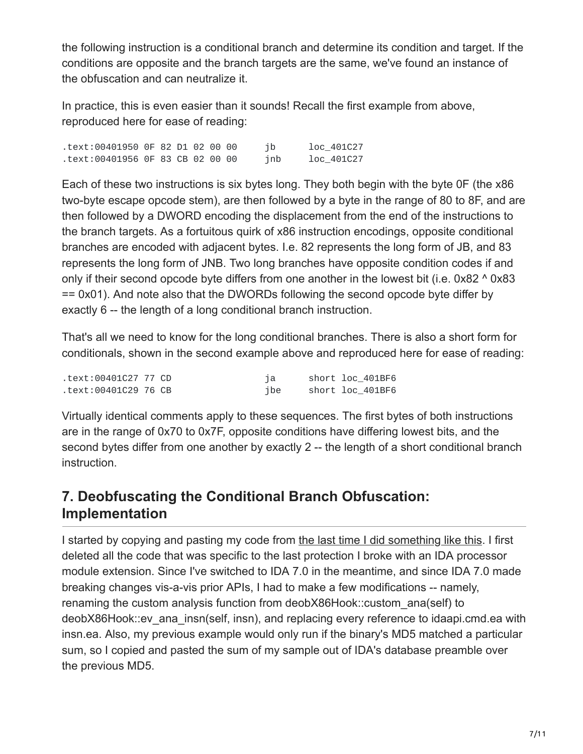the following instruction is a conditional branch and determine its condition and target. If the conditions are opposite and the branch targets are the same, we've found an instance of the obfuscation and can neutralize it.

In practice, this is even easier than it sounds! Recall the first example from above, reproduced here for ease of reading:

.text:00401950 0F 82 D1 02 00 00 jb loc\_401C27 .text:00401956 0F 83 CB 02 00 00 jnb loc\_401C27

Each of these two instructions is six bytes long. They both begin with the byte 0F (the x86 two-byte escape opcode stem), are then followed by a byte in the range of 80 to 8F, and are then followed by a DWORD encoding the displacement from the end of the instructions to the branch targets. As a fortuitous quirk of x86 instruction encodings, opposite conditional branches are encoded with adjacent bytes. I.e. 82 represents the long form of JB, and 83 represents the long form of JNB. Two long branches have opposite condition codes if and only if their second opcode byte differs from one another in the lowest bit (i.e. 0x82 ^ 0x83 == 0x01). And note also that the DWORDs following the second opcode byte differ by exactly 6 -- the length of a long conditional branch instruction.

That's all we need to know for the long conditional branches. There is also a short form for conditionals, shown in the second example above and reproduced here for ease of reading:

| text:00401C27 77 CD. |     | short loc 401BF6 |
|----------------------|-----|------------------|
| text:00401C29 76 CB. | ibe | short loc 401BF6 |

Virtually identical comments apply to these sequences. The first bytes of both instructions are in the range of 0x70 to 0x7F, opposite conditions have differing lowest bits, and the second bytes differ from one another by exactly 2 -- the length of a short conditional branch instruction.

# **7. Deobfuscating the Conditional Branch Obfuscation: Implementation**

I started by copying and pasting my code from [the last time I did something like this](http://www.msreverseengineering.com/blog/2015/6/29/transparent-deobfuscation-with-ida-processor-module-extensions). I first deleted all the code that was specific to the last protection I broke with an IDA processor module extension. Since I've switched to IDA 7.0 in the meantime, and since IDA 7.0 made breaking changes vis-a-vis prior APIs, I had to make a few modifications -- namely, renaming the custom analysis function from deobX86Hook::custom\_ana(self) to deobX86Hook::ev\_ana\_insn(self, insn), and replacing every reference to idaapi.cmd.ea with insn.ea. Also, my previous example would only run if the binary's MD5 matched a particular sum, so I copied and pasted the sum of my sample out of IDA's database preamble over the previous MD5.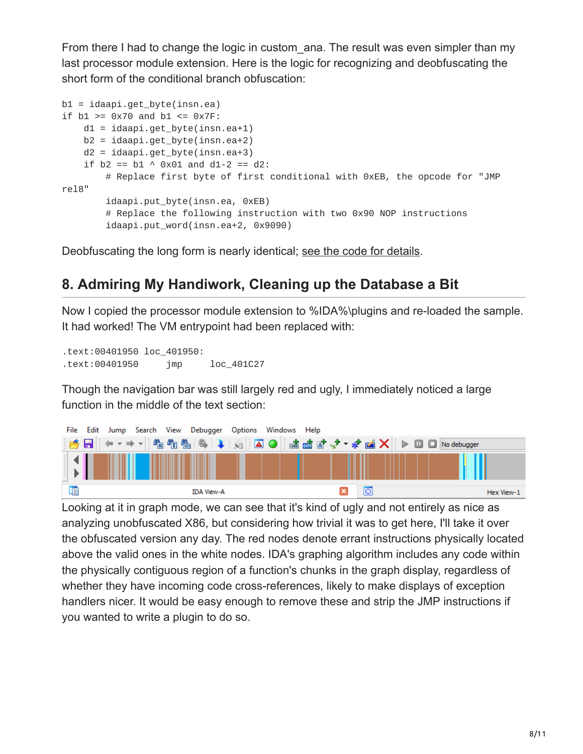From there I had to change the logic in custom ana. The result was even simpler than my last processor module extension. Here is the logic for recognizing and deobfuscating the short form of the conditional branch obfuscation:

```
b1 = idaapi.get_byte(insn.ea)
if b1 >= 0x70 and b1 <= 0x7F:
    d1 = idaapi.get_byte(insn.ea+1)
    b2 = idaapi.get_byte(insn.ea+2)
    d2 = idaapi.get_byte(insn.ea+3)
    if b2 == b1 \land 0x01 and d1-2 == d2:
        # Replace first byte of first conditional with 0xEB, the opcode for "JMP
rel8"
        idaapi.put_byte(insn.ea, 0xEB)
        # Replace the following instruction with two 0x90 NOP instructions
        idaapi.put_word(insn.ea+2, 0x9090)
```
Deobfuscating the long form is nearly identical; [see the code for details](https://github.com/RolfRolles/FinSpyVM/blob/master/FinSpyDeob.py).

#### **8. Admiring My Handiwork, Cleaning up the Database a Bit**

Now I copied the processor module extension to %IDA%\plugins and re-loaded the sample. It had worked! The VM entrypoint had been replaced with:

.text:00401950 loc\_401950: .text:00401950 jmp loc\_401C27

Though the navigation bar was still largely red and ugly, I immediately noticed a large function in the middle of the text section:



Looking at it in graph mode, we can see that it's kind of ugly and not entirely as nice as analyzing unobfuscated X86, but considering how trivial it was to get here, I'll take it over the obfuscated version any day. The red nodes denote errant instructions physically located above the valid ones in the white nodes. IDA's graphing algorithm includes any code within the physically contiguous region of a function's chunks in the graph display, regardless of whether they have incoming code cross-references, likely to make displays of exception handlers nicer. It would be easy enough to remove these and strip the JMP instructions if you wanted to write a plugin to do so.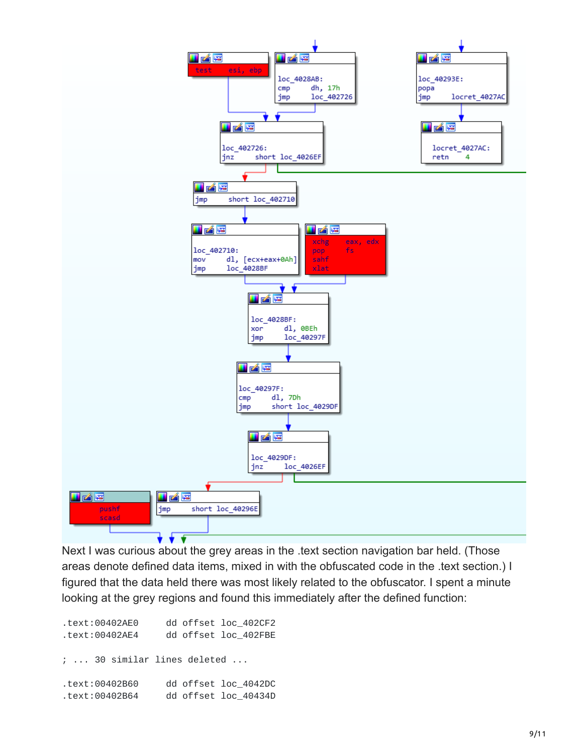

Next I was curious about the grey areas in the .text section navigation bar held. (Those areas denote defined data items, mixed in with the obfuscated code in the .text section.) I figured that the data held there was most likely related to the obfuscator. I spent a minute looking at the grey regions and found this immediately after the defined function:

| .text:00402AE0 | dd offset loc_402CF2             |
|----------------|----------------------------------|
| .text:00402AE4 | dd offset loc 402FBE             |
|                |                                  |
|                | $\,$ ;  30 similar lines deleted |
| .text:00402B60 | dd offset loc 4042DC             |
| .text:00402B64 | dd offset loc 40434D             |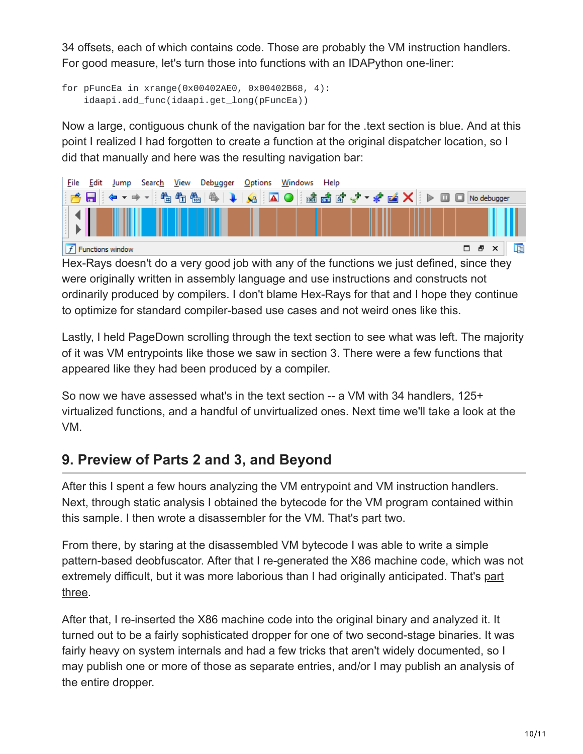34 offsets, each of which contains code. Those are probably the VM instruction handlers. For good measure, let's turn those into functions with an IDAPython one-liner:

```
for pFuncEa in xrange(0x00402AE0, 0x00402B68, 4):
    idaapi.add_func(idaapi.get_long(pFuncEa))
```
Now a large, contiguous chunk of the navigation bar for the .text section is blue. And at this point I realized I had forgotten to create a function at the original dispatcher location, so I did that manually and here was the resulting navigation bar:



Hex-Rays doesn't do a very good job with any of the functions we just defined, since they were originally written in assembly language and use instructions and constructs not ordinarily produced by compilers. I don't blame Hex-Rays for that and I hope they continue to optimize for standard compiler-based use cases and not weird ones like this.

Lastly, I held PageDown scrolling through the text section to see what was left. The majority of it was VM entrypoints like those we saw in section 3. There were a few functions that appeared like they had been produced by a compiler.

So now we have assessed what's in the text section -- a VM with 34 handlers, 125+ virtualized functions, and a handful of unvirtualized ones. Next time we'll take a look at the VM.

# **9. Preview of Parts 2 and 3, and Beyond**

After this I spent a few hours analyzing the VM entrypoint and VM instruction handlers. Next, through static analysis I obtained the bytecode for the VM program contained within this sample. I then wrote a disassembler for the VM. That's [part two.](http://www.msreverseengineering.com/blog/2018/1/31/finspy-vm-part-2-vm-analysis-and-bytecode-disassembly)

From there, by staring at the disassembled VM bytecode I was able to write a simple pattern-based deobfuscator. After that I re-generated the X86 machine code, which was not [extremely difficult, but it was more laborious than I had originally anticipated. That's part](http://www.msreverseengineering.com/blog/2018/2/21/finspy-vm-unpacking-tutorial-part-3-devirtualization) three.

After that, I re-inserted the X86 machine code into the original binary and analyzed it. It turned out to be a fairly sophisticated dropper for one of two second-stage binaries. It was fairly heavy on system internals and had a few tricks that aren't widely documented, so I may publish one or more of those as separate entries, and/or I may publish an analysis of the entire dropper.